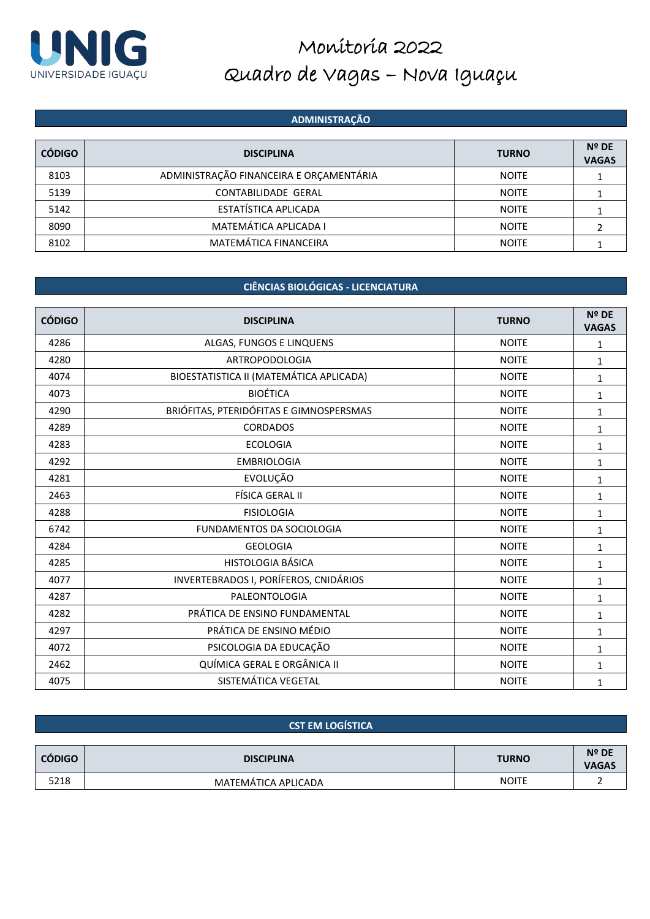

#### **ADMINISTRAÇÃO**

| <b>CÓDIGO</b> | <b>DISCIPLINA</b>                       | <b>TURNO</b> | $N^{\circ}$ DE<br><b>VAGAS</b> |
|---------------|-----------------------------------------|--------------|--------------------------------|
| 8103          | ADMINISTRAÇÃO FINANCEIRA E ORÇAMENTÁRIA | <b>NOITE</b> |                                |
| 5139          | <b>CONTABILIDADE GERAL</b>              | <b>NOITE</b> |                                |
| 5142          | ESTATÍSTICA APLICADA                    | <b>NOITE</b> |                                |
| 8090          | MATEMÁTICA APLICADA I                   | <b>NOITE</b> |                                |
| 8102          | MATEMÁTICA FINANCEIRA                   | <b>NOITE</b> |                                |

### **CIÊNCIAS BIOLÓGICAS - LICENCIATURA**

| <b>CÓDIGO</b> | <b>DISCIPLINA</b>                       | <b>TURNO</b> | Nº DE<br><b>VAGAS</b> |
|---------------|-----------------------------------------|--------------|-----------------------|
| 4286          | ALGAS, FUNGOS E LINQUENS                | <b>NOITE</b> | 1                     |
| 4280          | <b>ARTROPODOLOGIA</b>                   | <b>NOITE</b> | 1                     |
| 4074          | BIOESTATISTICA II (MATEMÁTICA APLICADA) | <b>NOITE</b> | 1                     |
| 4073          | <b>BIOÉTICA</b>                         | <b>NOITE</b> | 1                     |
| 4290          | BRIÓFITAS, PTERIDÓFITAS E GIMNOSPERSMAS | <b>NOITE</b> | 1                     |
| 4289          | <b>CORDADOS</b>                         | <b>NOITE</b> | 1                     |
| 4283          | <b>ECOLOGIA</b>                         | <b>NOITE</b> | 1                     |
| 4292          | <b>EMBRIOLOGIA</b>                      | <b>NOITE</b> | $\mathbf{1}$          |
| 4281          | EVOLUÇÃO                                | <b>NOITE</b> | 1                     |
| 2463          | FÍSICA GERAL II                         | <b>NOITE</b> | $\mathbf{1}$          |
| 4288          | <b>FISIOLOGIA</b>                       | <b>NOITE</b> | 1                     |
| 6742          | FUNDAMENTOS DA SOCIOLOGIA               | <b>NOITE</b> | 1                     |
| 4284          | <b>GEOLOGIA</b>                         | <b>NOITE</b> | 1                     |
| 4285          | <b>HISTOLOGIA BÁSICA</b>                | <b>NOITE</b> | 1                     |
| 4077          | INVERTEBRADOS I, PORÍFEROS, CNIDÁRIOS   | <b>NOITE</b> | $\mathbf{1}$          |
| 4287          | PALEONTOLOGIA                           | <b>NOITE</b> | 1                     |
| 4282          | PRÁTICA DE ENSINO FUNDAMENTAL           | <b>NOITE</b> | $\mathbf{1}$          |
| 4297          | PRÁTICA DE ENSINO MÉDIO                 | <b>NOITE</b> | 1                     |
| 4072          | PSICOLOGIA DA EDUCAÇÃO                  | <b>NOITE</b> | 1                     |
| 2462          | QUÍMICA GERAL E ORGÂNICA II             | <b>NOITE</b> | 1                     |
| 4075          | SISTEMÁTICA VEGETAL                     | <b>NOITE</b> | 1                     |

#### **CST EM LOGÍSTICA**

| <b>CÓDIGO</b> | <b>DISCIPLINA</b>   | <b>TURNO</b> | <b>Nº DE</b><br><b>VAGAS</b> |
|---------------|---------------------|--------------|------------------------------|
| 5218          | MATEMÁTICA APLICADA | <b>NOITE</b> |                              |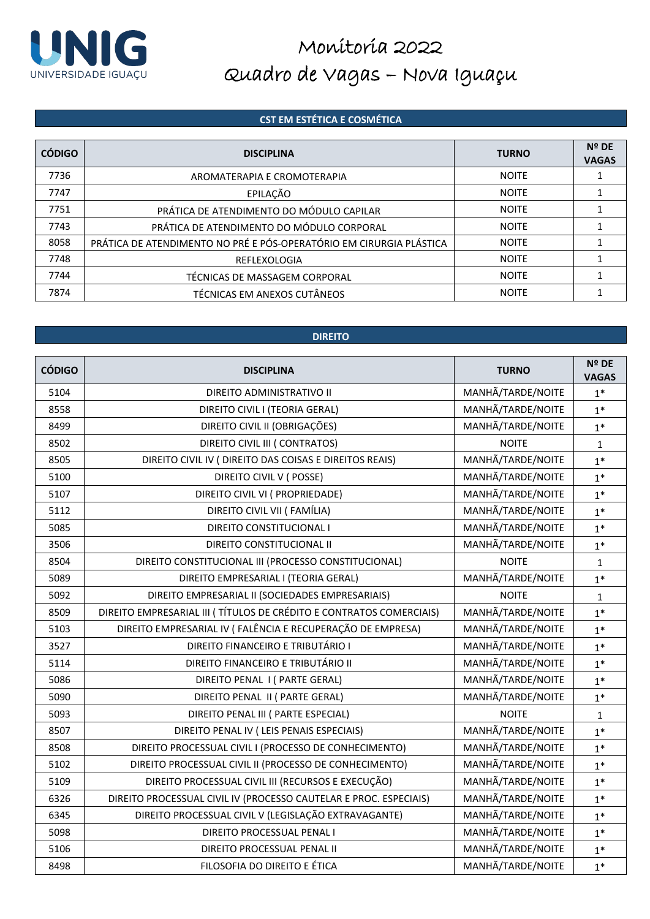

### **CST EM ESTÉTICA E COSMÉTICA**

| <b>CÓDIGO</b> | <b>DISCIPLINA</b>                                                   | <b>TURNO</b> | $N^{\circ}$ DE<br><b>VAGAS</b> |
|---------------|---------------------------------------------------------------------|--------------|--------------------------------|
| 7736          | AROMATERAPIA E CROMOTERAPIA                                         | <b>NOITE</b> |                                |
| 7747          | EPILAÇÃO                                                            | <b>NOITE</b> |                                |
| 7751          | PRÁTICA DE ATENDIMENTO DO MÓDULO CAPILAR                            | <b>NOITE</b> |                                |
| 7743          | PRÁTICA DE ATENDIMENTO DO MÓDULO CORPORAL                           | <b>NOITE</b> |                                |
| 8058          | PRÁTICA DE ATENDIMENTO NO PRÉ E PÓS-OPERATÓRIO EM CIRURGIA PLÁSTICA | <b>NOITE</b> |                                |
| 7748          | REFLEXOLOGIA                                                        | <b>NOITE</b> |                                |
| 7744          | TÉCNICAS DE MASSAGEM CORPORAL                                       | <b>NOITE</b> |                                |
| 7874          | TÉCNICAS EM ANEXOS CUTÂNEOS                                         | <b>NOITE</b> |                                |

#### **DIREITO**

| <b>CÓDIGO</b> | <b>DISCIPLINA</b>                                                   | <b>TURNO</b>      | Nº DE<br><b>VAGAS</b> |
|---------------|---------------------------------------------------------------------|-------------------|-----------------------|
| 5104          | DIREITO ADMINISTRATIVO II                                           | MANHÃ/TARDE/NOITE | $1^*$                 |
| 8558          | DIREITO CIVIL I (TEORIA GERAL)                                      | MANHÃ/TARDE/NOITE | $1*$                  |
| 8499          | DIREITO CIVIL II (OBRIGAÇÕES)                                       | MANHÃ/TARDE/NOITE | $1*$                  |
| 8502          | DIREITO CIVIL III ( CONTRATOS)                                      | <b>NOITE</b>      | $\mathbf 1$           |
| 8505          | DIREITO CIVIL IV ( DIREITO DAS COISAS E DIREITOS REAIS)             | MANHÃ/TARDE/NOITE | $1*$                  |
| 5100          | DIREITO CIVIL V (POSSE)                                             | MANHÃ/TARDE/NOITE | $1*$                  |
| 5107          | DIREITO CIVIL VI ( PROPRIEDADE)                                     | MANHÃ/TARDE/NOITE | $1*$                  |
| 5112          | DIREITO CIVIL VII ( FAMÍLIA)                                        | MANHÃ/TARDE/NOITE | $1*$                  |
| 5085          | DIREITO CONSTITUCIONAL I                                            | MANHÃ/TARDE/NOITE | $1*$                  |
| 3506          | DIREITO CONSTITUCIONAL II                                           | MANHÃ/TARDE/NOITE | $1*$                  |
| 8504          | DIREITO CONSTITUCIONAL III (PROCESSO CONSTITUCIONAL)                | <b>NOITE</b>      | $\mathbf{1}$          |
| 5089          | DIREITO EMPRESARIAL I (TEORIA GERAL)                                | MANHÃ/TARDE/NOITE | $1*$                  |
| 5092          | DIREITO EMPRESARIAL II (SOCIEDADES EMPRESARIAIS)                    | <b>NOITE</b>      | $\mathbf 1$           |
| 8509          | DIREITO EMPRESARIAL III (TÍTULOS DE CRÉDITO E CONTRATOS COMERCIAIS) | MANHÃ/TARDE/NOITE | $1*$                  |
| 5103          | DIREITO EMPRESARIAL IV (FALÊNCIA E RECUPERAÇÃO DE EMPRESA)          | MANHÃ/TARDE/NOITE | $1*$                  |
| 3527          | DIREITO FINANCEIRO E TRIBUTÁRIO I                                   | MANHÃ/TARDE/NOITE | $1*$                  |
| 5114          | DIREITO FINANCEIRO E TRIBUTÁRIO II                                  | MANHÃ/TARDE/NOITE | $1*$                  |
| 5086          | DIREITO PENAL I ( PARTE GERAL)                                      | MANHÃ/TARDE/NOITE | $1*$                  |
| 5090          | DIREITO PENAL II ( PARTE GERAL)                                     | MANHÃ/TARDE/NOITE | $1*$                  |
| 5093          | DIREITO PENAL III ( PARTE ESPECIAL)                                 | <b>NOITE</b>      | $\mathbf{1}$          |
| 8507          | DIREITO PENAL IV ( LEIS PENAIS ESPECIAIS)                           | MANHÃ/TARDE/NOITE | $1*$                  |
| 8508          | DIREITO PROCESSUAL CIVIL I (PROCESSO DE CONHECIMENTO)               | MANHÃ/TARDE/NOITE | $1*$                  |
| 5102          | DIREITO PROCESSUAL CIVIL II (PROCESSO DE CONHECIMENTO)              | MANHÃ/TARDE/NOITE | $1*$                  |
| 5109          | DIREITO PROCESSUAL CIVIL III (RECURSOS E EXECUÇÃO)                  | MANHÃ/TARDE/NOITE | $1*$                  |
| 6326          | DIREITO PROCESSUAL CIVIL IV (PROCESSO CAUTELAR E PROC. ESPECIAIS)   | MANHÃ/TARDE/NOITE | $1*$                  |
| 6345          | DIREITO PROCESSUAL CIVIL V (LEGISLAÇÃO EXTRAVAGANTE)                | MANHÃ/TARDE/NOITE | $1*$                  |
| 5098          | DIREITO PROCESSUAL PENAL I                                          | MANHÃ/TARDE/NOITE | $1*$                  |
| 5106          | DIREITO PROCESSUAL PENAL II                                         | MANHÃ/TARDE/NOITE | $1*$                  |
| 8498          | FILOSOFIA DO DIREITO E ÉTICA                                        | MANHÃ/TARDE/NOITE | $1*$                  |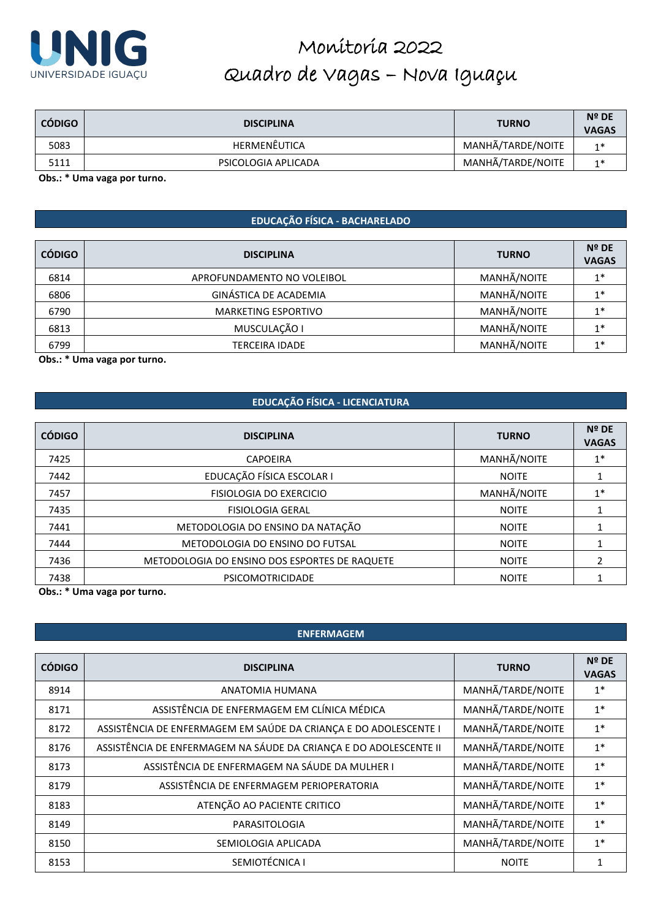

| <b>CÓDIGO</b> | <b>DISCIPLINA</b>   | <b>TURNO</b>      | Nº DE<br><b>VAGAS</b> |
|---------------|---------------------|-------------------|-----------------------|
| 5083          | HERMENÊUTICA        | MANHÃ/TARDE/NOITE | $1*$                  |
| 5111          | PSICOLOGIA APLICADA | MANHÃ/TARDE/NOITE | $1*$                  |

**Obs.: \* Uma vaga por turno.**

#### **EDUCAÇÃO FÍSICA - BACHARELADO**

| <b>CÓDIGO</b> | <b>DISCIPLINA</b>          | <b>TURNO</b> | Nº DE<br><b>VAGAS</b> |
|---------------|----------------------------|--------------|-----------------------|
| 6814          | APROFUNDAMENTO NO VOLEIBOL | MANHÃ/NOITE  | $1*$                  |
| 6806          | GINÁSTICA DE ACADEMIA      | MANHÃ/NOITE  | $1*$                  |
| 6790          | <b>MARKETING ESPORTIVO</b> | MANHÃ/NOITE  | $1*$                  |
| 6813          | MUSCULAÇÃO I               | MANHÃ/NOITE  | $1*$                  |
| 6799          | <b>TERCEIRA IDADE</b>      | MANHÃ/NOITE  | $1*$                  |

**Obs.: \* Uma vaga por turno.**

#### **EDUCAÇÃO FÍSICA - LICENCIATURA**

| <b>CÓDIGO</b> | <b>DISCIPLINA</b>                             | <b>TURNO</b> | $N^{\circ}$ DE<br><b>VAGAS</b> |
|---------------|-----------------------------------------------|--------------|--------------------------------|
| 7425          | <b>CAPOEIRA</b>                               | MANHÃ/NOITE  | $1*$                           |
| 7442          | EDUCAÇÃO FÍSICA ESCOLAR I                     | <b>NOITE</b> |                                |
| 7457          | <b>FISIOLOGIA DO EXERCICIO</b>                | MANHÃ/NOITE  | $1*$                           |
| 7435          | <b>FISIOLOGIA GERAL</b>                       | <b>NOITE</b> |                                |
| 7441          | METODOLOGIA DO ENSINO DA NATAÇÃO              | <b>NOITE</b> |                                |
| 7444          | METODOLOGIA DO ENSINO DO FUTSAL               | <b>NOITE</b> |                                |
| 7436          | METODOLOGIA DO ENSINO DOS ESPORTES DE RAQUETE | <b>NOITE</b> |                                |
| 7438          | <b>PSICOMOTRICIDADE</b>                       | <b>NOITE</b> |                                |

**Obs.: \* Uma vaga por turno.**

#### **ENFERMAGEM**

| <b>CÓDIGO</b> | <b>DISCIPLINA</b>                                                 | <b>TURNO</b>      | <b>Nº DE</b><br><b>VAGAS</b> |
|---------------|-------------------------------------------------------------------|-------------------|------------------------------|
| 8914          | ANATOMIA HUMANA                                                   | MANHÃ/TARDE/NOITE | $1^*$                        |
| 8171          | ASSISTÊNCIA DE ENFERMAGEM EM CLÍNICA MÉDICA                       | MANHÃ/TARDE/NOITE | $1*$                         |
| 8172          | ASSISTÊNCIA DE ENFERMAGEM EM SAÚDE DA CRIANÇA E DO ADOLESCENTE I  | MANHÃ/TARDE/NOITE | $1*$                         |
| 8176          | ASSISTÊNCIA DE ENFERMAGEM NA SÁUDE DA CRIANÇA E DO ADOLESCENTE II | MANHÃ/TARDE/NOITE | $1*$                         |
| 8173          | ASSISTÊNCIA DE ENFERMAGEM NA SÁUDE DA MULHER I                    | MANHÃ/TARDE/NOITE | $1*$                         |
| 8179          | ASSISTÊNCIA DE ENFERMAGEM PERIOPERATORIA                          | MANHÃ/TARDE/NOITE | $1*$                         |
| 8183          | ATENÇÃO AO PACIENTE CRITICO                                       | MANHÃ/TARDE/NOITE | $1*$                         |
| 8149          | PARASITOLOGIA                                                     | MANHÃ/TARDE/NOITE | $1*$                         |
| 8150          | SEMIOLOGIA APLICADA                                               | MANHÃ/TARDE/NOITE | $1*$                         |
| 8153          | SEMIOTÉCNICA I                                                    | <b>NOITE</b>      |                              |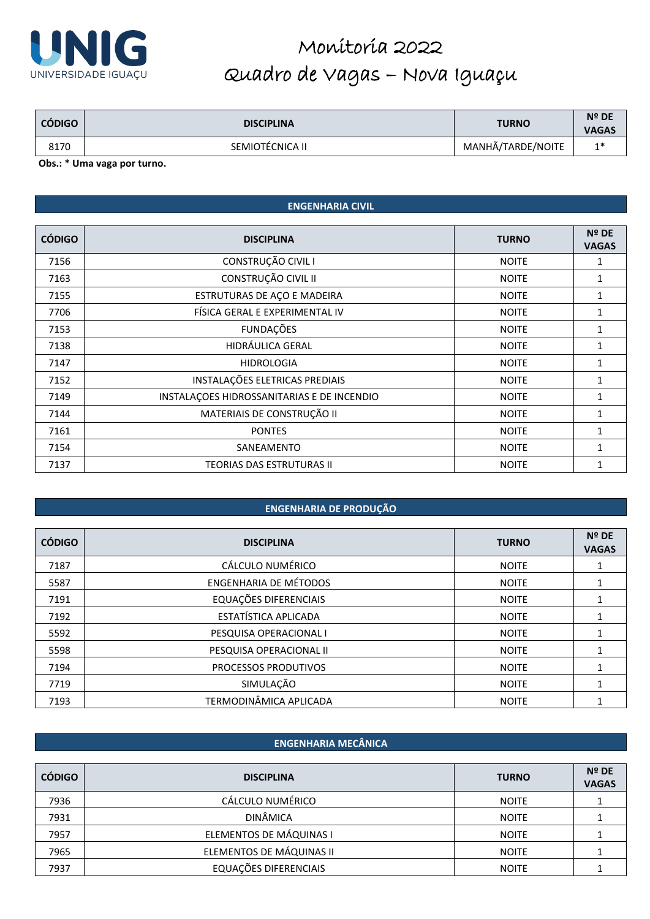

| <b>CÓDIGO</b> | <b>DISCIPLINA</b> | <b>TURNO</b>      | <b>Nº DE</b><br><b>VAGAS</b> |
|---------------|-------------------|-------------------|------------------------------|
| 8170          | SEMIOTÉCNICA II   | MANHÃ/TARDE/NOITE | $1*$                         |

**Obs.: \* Uma vaga por turno.**

### **ENGENHARIA CIVIL**

| <b>CÓDIGO</b> | <b>DISCIPLINA</b>                          | <b>TURNO</b> | Nº DE<br><b>VAGAS</b> |
|---------------|--------------------------------------------|--------------|-----------------------|
| 7156          | CONSTRUÇÃO CIVIL I                         | <b>NOITE</b> | 1                     |
| 7163          | CONSTRUÇÃO CIVIL II                        | <b>NOITE</b> | 1                     |
| 7155          | ESTRUTURAS DE AÇO E MADEIRA                | <b>NOITE</b> | 1                     |
| 7706          | FÍSICA GERAL E EXPERIMENTAL IV             | <b>NOITE</b> | 1                     |
| 7153          | <b>FUNDAÇÕES</b>                           | <b>NOITE</b> | 1                     |
| 7138          | HIDRÁULICA GERAL                           | <b>NOITE</b> | 1                     |
| 7147          | <b>HIDROLOGIA</b>                          | <b>NOITE</b> | 1                     |
| 7152          | INSTALAÇÕES ELETRICAS PREDIAIS             | <b>NOITE</b> | 1                     |
| 7149          | INSTALAÇÕES HIDROSSANITARIAS E DE INCENDIO | <b>NOITE</b> | 1                     |
| 7144          | MATERIAIS DE CONSTRUÇÃO II                 | <b>NOITE</b> | $\mathbf{1}$          |
| 7161          | <b>PONTES</b>                              | <b>NOITE</b> | 1                     |
| 7154          | SANEAMENTO                                 | <b>NOITE</b> | $\mathbf{1}$          |
| 7137          | <b>TEORIAS DAS ESTRUTURAS II</b>           | <b>NOITE</b> | 1                     |

#### **ENGENHARIA DE PRODUÇÃO**

| <b>CÓDIGO</b> | <b>DISCIPLINA</b>            | <b>TURNO</b> | <b>Nº DE</b><br><b>VAGAS</b> |
|---------------|------------------------------|--------------|------------------------------|
| 7187          | CÁLCULO NUMÉRICO             | <b>NOITE</b> |                              |
| 5587          | <b>ENGENHARIA DE MÉTODOS</b> | <b>NOITE</b> |                              |
| 7191          | EQUAÇÕES DIFERENCIAIS        | <b>NOITE</b> |                              |
| 7192          | ESTATÍSTICA APLICADA         | <b>NOITE</b> | 1                            |
| 5592          | PESQUISA OPERACIONAL I       | <b>NOITE</b> |                              |
| 5598          | PESQUISA OPERACIONAL II      | <b>NOITE</b> |                              |
| 7194          | PROCESSOS PRODUTIVOS         | <b>NOITE</b> |                              |
| 7719          | SIMULAÇÃO                    | <b>NOITE</b> |                              |
| 7193          | TERMODINÂMICA APLICADA       | <b>NOITE</b> |                              |

#### **ENGENHARIA MECÂNICA**

| <b>CÓDIGO</b> | <b>DISCIPLINA</b>        | <b>TURNO</b> | <b>Nº DE</b><br><b>VAGAS</b> |
|---------------|--------------------------|--------------|------------------------------|
| 7936          | CÁLCULO NUMÉRICO         | <b>NOITE</b> |                              |
| 7931          | <b>DINÂMICA</b>          | <b>NOITE</b> |                              |
| 7957          | ELEMENTOS DE MÁQUINAS I  | <b>NOITE</b> |                              |
| 7965          | ELEMENTOS DE MÁQUINAS II | <b>NOITE</b> |                              |
| 7937          | EQUAÇÕES DIFERENCIAIS    | <b>NOITE</b> |                              |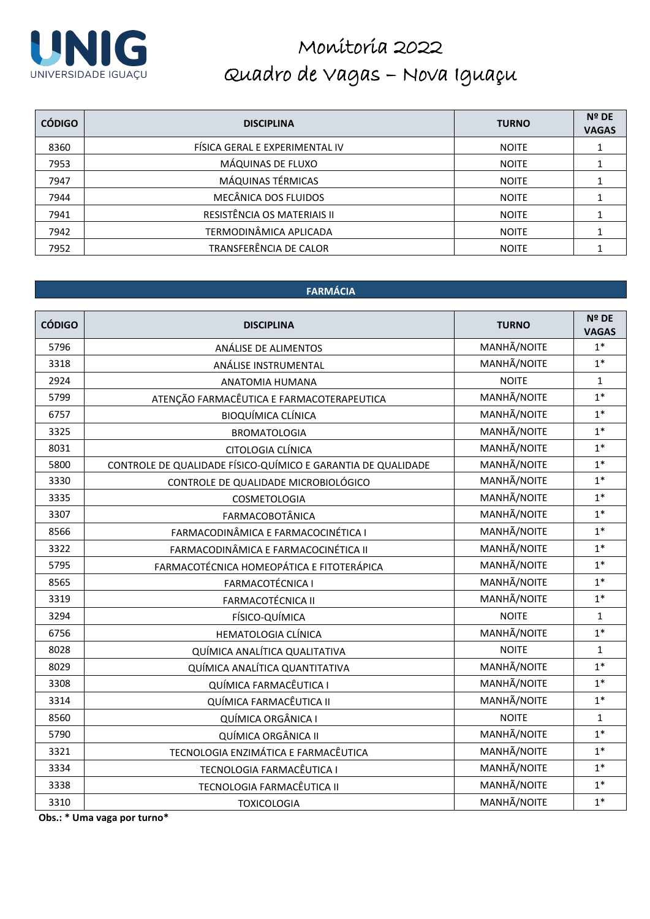

| <b>CÓDIGO</b> | <b>DISCIPLINA</b>              | <b>TURNO</b> | <b>Nº DE</b><br><b>VAGAS</b> |
|---------------|--------------------------------|--------------|------------------------------|
| 8360          | FÍSICA GERAL E EXPERIMENTAL IV | <b>NOITE</b> |                              |
| 7953          | MÁQUINAS DE FLUXO              | <b>NOITE</b> |                              |
| 7947          | MÁQUINAS TÉRMICAS              | <b>NOITE</b> |                              |
| 7944          | MECÂNICA DOS FLUIDOS           | <b>NOITE</b> |                              |
| 7941          | RESISTÊNCIA OS MATERIAIS II    | <b>NOITE</b> |                              |
| 7942          | TERMODINÂMICA APLICADA         | <b>NOITE</b> |                              |
| 7952          | TRANSFERÊNCIA DE CALOR         | <b>NOITE</b> |                              |

### **FARMÁCIA**

| <b>CÓDIGO</b> | <b>DISCIPLINA</b>                                            | <b>TURNO</b> | Nº DE<br><b>VAGAS</b> |
|---------------|--------------------------------------------------------------|--------------|-----------------------|
| 5796          | ANÁLISE DE ALIMENTOS                                         | MANHÃ/NOITE  | $1*$                  |
| 3318          | ANÁLISE INSTRUMENTAL                                         | MANHÃ/NOITE  | $1*$                  |
| 2924          | ANATOMIA HUMANA                                              | <b>NOITE</b> | $\mathbf 1$           |
| 5799          | ATENÇÃO FARMACÊUTICA E FARMACOTERAPEUTICA                    | MANHÃ/NOITE  | $1*$                  |
| 6757          | <b>BIOQUÍMICA CLÍNICA</b>                                    | MANHÃ/NOITE  | $1*$                  |
| 3325          | <b>BROMATOLOGIA</b>                                          | MANHÃ/NOITE  | $1*$                  |
| 8031          | CITOLOGIA CLÍNICA                                            | MANHÃ/NOITE  | $1*$                  |
| 5800          | CONTROLE DE QUALIDADE FÍSICO-QUÍMICO E GARANTIA DE QUALIDADE | MANHÃ/NOITE  | $1*$                  |
| 3330          | CONTROLE DE QUALIDADE MICROBIOLÓGICO                         | MANHÃ/NOITE  | $1*$                  |
| 3335          | COSMETOLOGIA                                                 | MANHÃ/NOITE  | $1*$                  |
| 3307          | <b>FARMACOBOTÂNICA</b>                                       | MANHÃ/NOITE  | $1*$                  |
| 8566          | FARMACODINÂMICA E FARMACOCINÉTICA I                          | MANHÃ/NOITE  | $1*$                  |
| 3322          | FARMACODINÂMICA E FARMACOCINÉTICA II                         | MANHÃ/NOITE  | $1*$                  |
| 5795          | FARMACOTÉCNICA HOMEOPÁTICA E FITOTERÁPICA                    | MANHÃ/NOITE  | $1*$                  |
| 8565          | <b>FARMACOTÉCNICA I</b>                                      | MANHÃ/NOITE  | $1*$                  |
| 3319          | <b>FARMACOTÉCNICA II</b>                                     | MANHÃ/NOITE  | $1*$                  |
| 3294          | FÍSICO-QUÍMICA                                               | <b>NOITE</b> | $\mathbf{1}$          |
| 6756          | HEMATOLOGIA CLÍNICA                                          | MANHÃ/NOITE  | $1*$                  |
| 8028          | QUÍMICA ANALÍTICA QUALITATIVA                                | <b>NOITE</b> | $\mathbf{1}$          |
| 8029          | QUÍMICA ANALÍTICA QUANTITATIVA                               | MANHÃ/NOITE  | $1*$                  |
| 3308          | QUÍMICA FARMACÊUTICA I                                       | MANHÃ/NOITE  | $1*$                  |
| 3314          | QUÍMICA FARMACÊUTICA II                                      | MANHÃ/NOITE  | $1*$                  |
| 8560          | QUÍMICA ORGÂNICA I                                           | <b>NOITE</b> | $\mathbf{1}$          |
| 5790          | QUÍMICA ORGÂNICA II                                          | MANHÃ/NOITE  | $1*$                  |
| 3321          | TECNOLOGIA ENZIMÁTICA E FARMACÊUTICA                         | MANHÃ/NOITE  | $1*$                  |
| 3334          | TECNOLOGIA FARMACÊUTICA I                                    | MANHÃ/NOITE  | $1*$                  |
| 3338          | TECNOLOGIA FARMACÊUTICA II                                   | MANHÃ/NOITE  | $1*$                  |
| 3310          | <b>TOXICOLOGIA</b>                                           | MANHÃ/NOITE  | $1*$                  |

**Obs.: \* Uma vaga por turno\***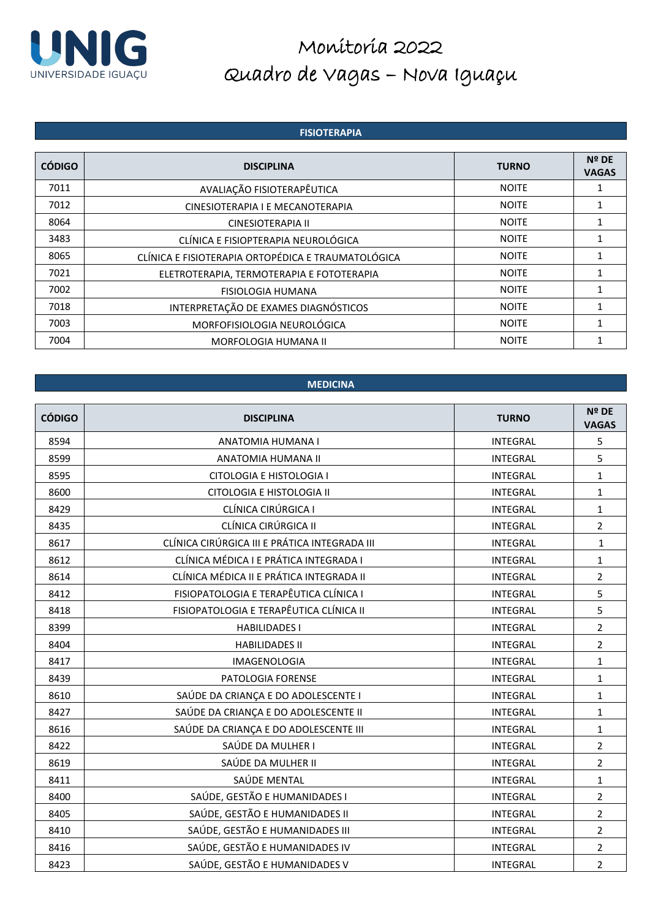

#### **FISIOTERAPIA**

| <b>CÓDIGO</b> | <b>DISCIPLINA</b>                                  | <b>TURNO</b> | Nº DE<br><b>VAGAS</b> |
|---------------|----------------------------------------------------|--------------|-----------------------|
| 7011          | AVALIAÇÃO FISIOTERAPÊUTICA                         | <b>NOITE</b> |                       |
| 7012          | CINESIOTERAPIA I E MECANOTERAPIA                   | <b>NOITE</b> |                       |
| 8064          | CINESIOTERAPIA II                                  | <b>NOITE</b> |                       |
| 3483          | CLÍNICA E FISIOPTERAPIA NEUROLÓGICA                | <b>NOITE</b> |                       |
| 8065          | CLÍNICA E FISIOTERAPIA ORTOPÉDICA E TRAUMATOLÓGICA | <b>NOITE</b> |                       |
| 7021          | ELETROTERAPIA, TERMOTERAPIA E FOTOTERAPIA          | <b>NOITE</b> |                       |
| 7002          | FISIOLOGIA HUMANA                                  | <b>NOITE</b> |                       |
| 7018          | INTERPRETAÇÃO DE EXAMES DIAGNÓSTICOS               | <b>NOITE</b> |                       |
| 7003          | MORFOFISIOLOGIA NEUROLÓGICA                        | <b>NOITE</b> |                       |
| 7004          | MORFOLOGIA HUMANA II                               | <b>NOITE</b> |                       |

#### **MEDICINA**

| <b>CÓDIGO</b> | <b>DISCIPLINA</b>                             | <b>TURNO</b>    | Nº DE<br><b>VAGAS</b> |
|---------------|-----------------------------------------------|-----------------|-----------------------|
| 8594          | ANATOMIA HUMANA I                             | <b>INTEGRAL</b> | 5                     |
| 8599          | ANATOMIA HUMANA II                            | <b>INTEGRAL</b> | 5                     |
| 8595          | CITOLOGIA E HISTOLOGIA I                      | <b>INTEGRAL</b> | $\mathbf{1}$          |
| 8600          | CITOLOGIA E HISTOLOGIA II                     | <b>INTEGRAL</b> | $\mathbf{1}$          |
| 8429          | CLÍNICA CIRÚRGICA I                           | <b>INTEGRAL</b> | $\mathbf{1}$          |
| 8435          | CLÍNICA CIRÚRGICA II                          | <b>INTEGRAL</b> | $\overline{2}$        |
| 8617          | CLÍNICA CIRÚRGICA III E PRÁTICA INTEGRADA III | <b>INTEGRAL</b> | $\mathbf{1}$          |
| 8612          | CLÍNICA MÉDICA I E PRÁTICA INTEGRADA I        | <b>INTEGRAL</b> | $\mathbf{1}$          |
| 8614          | CLÍNICA MÉDICA II E PRÁTICA INTEGRADA II      | <b>INTEGRAL</b> | $\overline{2}$        |
| 8412          | FISIOPATOLOGIA E TERAPÊUTICA CLÍNICA I        | <b>INTEGRAL</b> | 5                     |
| 8418          | FISIOPATOLOGIA E TERAPÊUTICA CLÍNICA II       | <b>INTEGRAL</b> | 5                     |
| 8399          | <b>HABILIDADES I</b>                          | <b>INTEGRAL</b> | $\overline{2}$        |
| 8404          | <b>HABILIDADES II</b>                         | <b>INTEGRAL</b> | $\overline{2}$        |
| 8417          | IMAGENOLOGIA                                  | <b>INTEGRAL</b> | $\mathbf{1}$          |
| 8439          | PATOLOGIA FORENSE                             | <b>INTEGRAL</b> | $\mathbf{1}$          |
| 8610          | SAÚDE DA CRIANÇA E DO ADOLESCENTE I           | <b>INTEGRAL</b> | $\mathbf{1}$          |
| 8427          | SAÚDE DA CRIANÇA E DO ADOLESCENTE II          | <b>INTEGRAL</b> | $\mathbf{1}$          |
| 8616          | SAÚDE DA CRIANÇA E DO ADOLESCENTE III         | <b>INTEGRAL</b> | $\mathbf{1}$          |
| 8422          | SAÚDE DA MULHER I                             | <b>INTEGRAL</b> | $\overline{2}$        |
| 8619          | SAÚDE DA MULHER II                            | <b>INTEGRAL</b> | $\overline{2}$        |
| 8411          | SAÚDE MENTAL                                  | <b>INTEGRAL</b> | $\mathbf{1}$          |
| 8400          | SAÚDE, GESTÃO E HUMANIDADES I                 | <b>INTEGRAL</b> | $\overline{2}$        |
| 8405          | SAÚDE, GESTÃO E HUMANIDADES II                | <b>INTEGRAL</b> | $\overline{2}$        |
| 8410          | SAÚDE, GESTÃO E HUMANIDADES III               | <b>INTEGRAL</b> | $\overline{2}$        |
| 8416          | SAÚDE, GESTÃO E HUMANIDADES IV                | <b>INTEGRAL</b> | $\overline{2}$        |
| 8423          | SAÚDE, GESTÃO E HUMANIDADES V                 | <b>INTEGRAL</b> | $\overline{2}$        |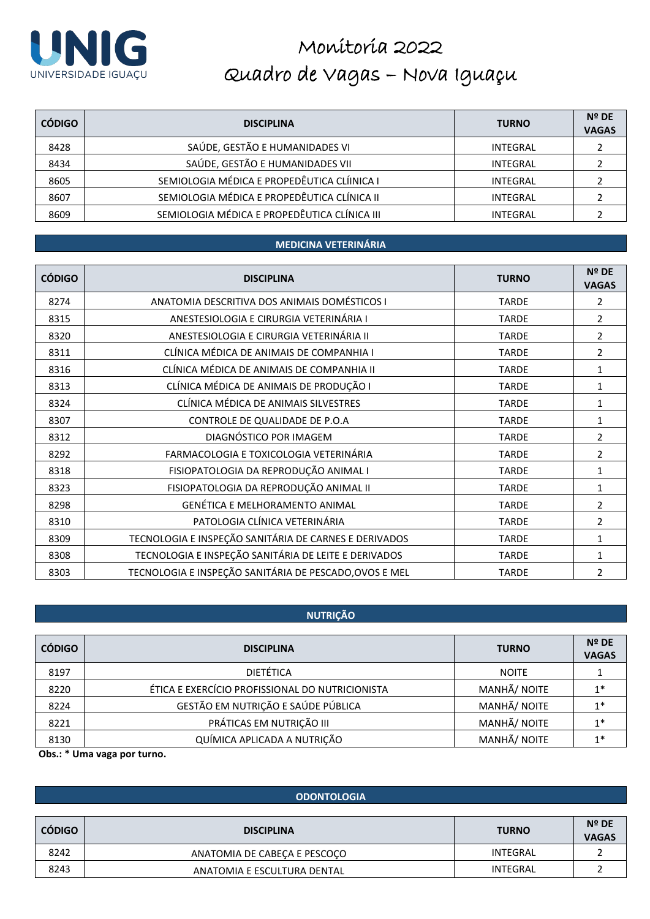

| <b>CÓDIGO</b> | <b>DISCIPLINA</b>                            | <b>TURNO</b> | $N^{\circ}$ DE<br><b>VAGAS</b> |
|---------------|----------------------------------------------|--------------|--------------------------------|
| 8428          | SAÚDE, GESTÃO E HUMANIDADES VI               | INTEGRAL     |                                |
| 8434          | SAÚDE, GESTÃO E HUMANIDADES VII              | INTEGRAL     |                                |
| 8605          | SEMIOLOGIA MÉDICA E PROPEDÊUTICA CLÍINICA I  | INTEGRAL     |                                |
| 8607          | SEMIOLOGIA MÉDICA E PROPEDÊUTICA CLÍNICA II  | INTEGRAL     |                                |
| 8609          | SEMIOLOGIA MÉDICA E PROPEDÊUTICA CLÍNICA III | INTEGRAL     |                                |

#### **MEDICINA VETERINÁRIA**

| <b>CÓDIGO</b> | <b>DISCIPLINA</b>                                      | <b>TURNO</b> | <b>Nº DE</b><br><b>VAGAS</b> |
|---------------|--------------------------------------------------------|--------------|------------------------------|
| 8274          | ANATOMIA DESCRITIVA DOS ANIMAIS DOMÉSTICOS I           | <b>TARDE</b> | 2                            |
| 8315          | ANESTESIOLOGIA E CIRURGIA VETERINÁRIA I                | <b>TARDE</b> | 2                            |
| 8320          | ANESTESIOLOGIA E CIRURGIA VETERINÁRIA II               | <b>TARDE</b> | 2                            |
| 8311          | CLÍNICA MÉDICA DE ANIMAIS DE COMPANHIA I               | <b>TARDE</b> | 2                            |
| 8316          | CLÍNICA MÉDICA DE ANIMAIS DE COMPANHIA II              | <b>TARDE</b> | 1                            |
| 8313          | CLÍNICA MÉDICA DE ANIMAIS DE PRODUÇÃO I                | <b>TARDE</b> | 1                            |
| 8324          | CLÍNICA MÉDICA DE ANIMAIS SILVESTRES                   | <b>TARDE</b> | 1                            |
| 8307          | CONTROLE DE QUALIDADE DE P.O.A                         | <b>TARDE</b> | 1                            |
| 8312          | DIAGNÓSTICO POR IMAGEM                                 | <b>TARDE</b> | 2                            |
| 8292          | FARMACOLOGIA E TOXICOLOGIA VETERINÁRIA                 | <b>TARDE</b> | 2                            |
| 8318          | FISIOPATOLOGIA DA REPRODUÇÃO ANIMAL I                  | <b>TARDE</b> | 1                            |
| 8323          | FISIOPATOLOGIA DA REPRODUÇÃO ANIMAL II                 | <b>TARDE</b> | 1                            |
| 8298          | GENÉTICA E MELHORAMENTO ANIMAL                         | <b>TARDE</b> | 2                            |
| 8310          | PATOLOGIA CLÍNICA VETERINÁRIA                          | <b>TARDE</b> | 2                            |
| 8309          | TECNOLOGIA E INSPEÇÃO SANITÁRIA DE CARNES E DERIVADOS  | <b>TARDE</b> | 1                            |
| 8308          | TECNOLOGIA E INSPEÇÃO SANITÁRIA DE LEITE E DERIVADOS   | <b>TARDE</b> | 1                            |
| 8303          | TECNOLOGIA E INSPEÇÃO SANITÁRIA DE PESCADO, OVOS E MEL | <b>TARDE</b> | $\overline{2}$               |

### **NUTRIÇÃO**

| <b>CÓDIGO</b> | <b>DISCIPLINA</b>                               | <b>TURNO</b> | $N^{\circ}$ DE<br><b>VAGAS</b> |
|---------------|-------------------------------------------------|--------------|--------------------------------|
| 8197          | <b>DIETÉTICA</b>                                | <b>NOITE</b> |                                |
| 8220          | ÉTICA E EXERCÍCIO PROFISSIONAL DO NUTRICIONISTA | MANHÃ/ NOITE | $1*$                           |
| 8224          | GESTÃO EM NUTRIÇÃO E SAÚDE PÚBLICA              | MANHÃ/ NOITE | $1*$                           |
| 8221          | PRÁTICAS EM NUTRIÇÃO III                        | MANHÃ/ NOITE | $1*$                           |
| 8130          | QUÍMICA APLICADA A NUTRIÇÃO                     | MANHÃ/ NOITE | $1*$                           |

**Obs.: \* Uma vaga por turno.**

#### **ODONTOLOGIA**

| <b>CÓDIGO</b> | <b>DISCIPLINA</b>            | <b>TURNO</b> | $N^{\circ}$ DE<br><b>VAGAS</b> |
|---------------|------------------------------|--------------|--------------------------------|
| 8242          | ANATOMIA DE CABECA E PESCOCO | INTEGRAL     |                                |
| 8243          | ANATOMIA E ESCULTURA DENTAL  | INTEGRAL     |                                |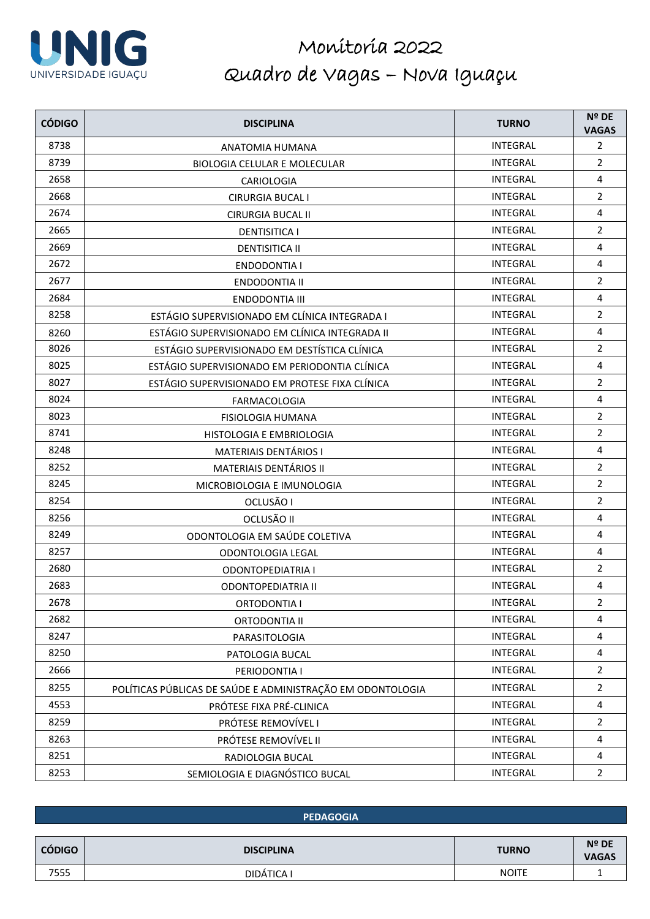

| <b>CÓDIGO</b> | <b>DISCIPLINA</b>                                          | <b>TURNO</b>    | Nº DE<br><b>VAGAS</b>   |
|---------------|------------------------------------------------------------|-----------------|-------------------------|
| 8738          | ANATOMIA HUMANA                                            | <b>INTEGRAL</b> | $\overline{2}$          |
| 8739          | BIOLOGIA CELULAR E MOLECULAR                               | <b>INTEGRAL</b> | $\overline{2}$          |
| 2658          | CARIOLOGIA                                                 | <b>INTEGRAL</b> | 4                       |
| 2668          | <b>CIRURGIA BUCAL I</b>                                    | <b>INTEGRAL</b> | $\overline{2}$          |
| 2674          | <b>CIRURGIA BUCAL II</b>                                   | <b>INTEGRAL</b> | $\overline{4}$          |
| 2665          | <b>DENTISITICA I</b>                                       | <b>INTEGRAL</b> | $\overline{2}$          |
| 2669          | <b>DENTISITICA II</b>                                      | <b>INTEGRAL</b> | 4                       |
| 2672          | <b>ENDODONTIA I</b>                                        | <b>INTEGRAL</b> | $\overline{4}$          |
| 2677          | <b>ENDODONTIA II</b>                                       | INTEGRAL        | $\overline{2}$          |
| 2684          | <b>ENDODONTIA III</b>                                      | <b>INTEGRAL</b> | 4                       |
| 8258          | ESTÁGIO SUPERVISIONADO EM CLÍNICA INTEGRADA I              | <b>INTEGRAL</b> | $\overline{2}$          |
| 8260          | ESTÁGIO SUPERVISIONADO EM CLÍNICA INTEGRADA II             | <b>INTEGRAL</b> | $\overline{4}$          |
| 8026          | ESTÁGIO SUPERVISIONADO EM DESTÍSTICA CLÍNICA               | <b>INTEGRAL</b> | $\overline{2}$          |
| 8025          | ESTÁGIO SUPERVISIONADO EM PERIODONTIA CLÍNICA              | <b>INTEGRAL</b> | 4                       |
| 8027          | ESTÁGIO SUPERVISIONADO EM PROTESE FIXA CLÍNICA             | <b>INTEGRAL</b> | $\overline{2}$          |
| 8024          | <b>FARMACOLOGIA</b>                                        | INTEGRAL        | $\overline{\mathbf{4}}$ |
| 8023          | <b>FISIOLOGIA HUMANA</b>                                   | <b>INTEGRAL</b> | $\overline{2}$          |
| 8741          | HISTOLOGIA E EMBRIOLOGIA                                   | <b>INTEGRAL</b> | $\overline{2}$          |
| 8248          | MATERIAIS DENTÁRIOS I                                      | INTEGRAL        | 4                       |
| 8252          | MATERIAIS DENTÁRIOS II                                     | <b>INTEGRAL</b> | $\overline{2}$          |
| 8245          | MICROBIOLOGIA E IMUNOLOGIA                                 | <b>INTEGRAL</b> | $\overline{2}$          |
| 8254          | OCLUSÃO I                                                  | <b>INTEGRAL</b> | $\overline{2}$          |
| 8256          | OCLUSÃO II                                                 | <b>INTEGRAL</b> | 4                       |
| 8249          | ODONTOLOGIA EM SAÚDE COLETIVA                              | INTEGRAL        | $\overline{4}$          |
| 8257          | ODONTOLOGIA LEGAL                                          | <b>INTEGRAL</b> | $\overline{4}$          |
| 2680          | <b>ODONTOPEDIATRIA I</b>                                   | <b>INTEGRAL</b> | $\overline{2}$          |
| 2683          | <b>ODONTOPEDIATRIA II</b>                                  | <b>INTEGRAL</b> | 4                       |
| 2678          | <b>ORTODONTIA I</b>                                        | <b>INTEGRAL</b> | 2                       |
| 2682          | <b>ORTODONTIA II</b>                                       | <b>INTEGRAL</b> | 4                       |
| 8247          | PARASITOLOGIA                                              | <b>INTEGRAL</b> | 4                       |
| 8250          | PATOLOGIA BUCAL                                            | <b>INTEGRAL</b> | 4                       |
| 2666          | PERIODONTIA I                                              | <b>INTEGRAL</b> | $\overline{2}$          |
| 8255          | POLÍTICAS PÚBLICAS DE SAÚDE E ADMINISTRAÇÃO EM ODONTOLOGIA | <b>INTEGRAL</b> | $\overline{2}$          |
| 4553          | PRÓTESE FIXA PRÉ-CLINICA                                   | INTEGRAL        | $\overline{4}$          |
| 8259          | PRÓTESE REMOVÍVEL I                                        | <b>INTEGRAL</b> | $\overline{2}$          |
| 8263          | PRÓTESE REMOVÍVEL II                                       | <b>INTEGRAL</b> | 4                       |
| 8251          | RADIOLOGIA BUCAL                                           | <b>INTEGRAL</b> | 4                       |
| 8253          | SEMIOLOGIA E DIAGNÓSTICO BUCAL                             | <b>INTEGRAL</b> | $\overline{2}$          |

|               | <b>PEDAGOGIA</b>  |              |                                |  |
|---------------|-------------------|--------------|--------------------------------|--|
|               |                   |              |                                |  |
| <b>CÓDIGO</b> | <b>DISCIPLINA</b> | <b>TURNO</b> | $N^{\circ}$ DE<br><b>VAGAS</b> |  |
| 7555          | DIDÁTICA I        | <b>NOITE</b> |                                |  |